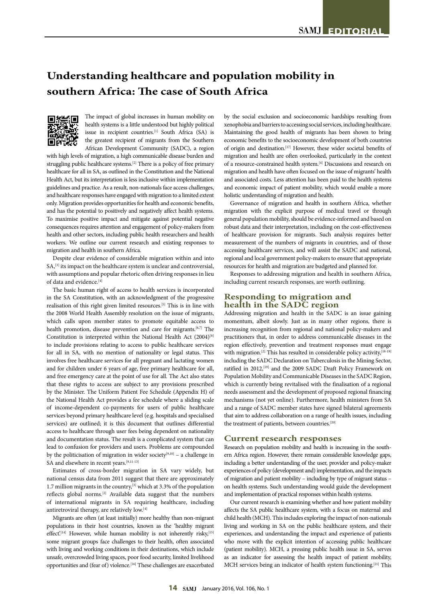# **Understanding healthcare and population mobility in southern Africa: The case of South Africa**



The impact of global increases in human mobility on health systems is a little understood but highly political issue in recipient countries.<sup>[1]</sup> South Africa (SA) is the greatest recipient of migrants from the Southern African Development Community (SADC), a region

with high levels of migration, a high communicable disease burden and struggling public healthcare systems.<sup>[2]</sup> There is a policy of free primary healthcare for all in SA, as outlined in the Constitution and the National Health Act, but its interpretation is less inclusive within implementation guidelines and practice. As a result, non-nationals face access challenges, and healthcare responses have engaged with migration to a limited extent only. Migration provides opportunities for health and economic benefits, and has the potential to positively and negatively affect health systems. To maximise positive impact and mitigate against potential negative consequences requires attention and engagement of policy-makers from health and other sectors, including public health researchers and health workers. We outline our current research and existing responses to migration and health in southern Africa.

Despite clear evidence of considerable migration within and into SA,<sup>[3]</sup> its impact on the healthcare system is unclear and controversial, with assumptions and popular rhetoric often driving responses in lieu of data and evidence.[4]

The basic human right of access to health services is incorporated in the SA Constitution, with an acknowledgment of the progressive realisation of this right given limited resources.[5] This is in line with the 2008 World Health Assembly resolution on the issue of migrants, which calls upon member states to promote equitable access to health promotion, disease prevention and care for migrants.<sup>[6,7]</sup> The Constitution is interpreted within the National Health Act (2004)<sup>[8]</sup> to include provisions relating to access to public healthcare services for all in SA, with no mention of nationality or legal status. This involves free healthcare services for all pregnant and lactating women and for children under 6 years of age, free primary healthcare for all, and free emergency care at the point of use for all. The Act also states that these rights to access are subject to any provisions prescribed by the Minister. The Uniform Patient Fee Schedule (Appendix H) of the National Health Act provides a fee schedule where a sliding scale of income-dependent co-payments for users of public healthcare services beyond primary healthcare level (e.g. hospitals and specialised services) are outlined; it is this document that outlines differential access to healthcare through user fees being dependent on nationality and documentation status. The result is a complicated system that can lead to confusion for providers and users. Problems are compounded by the politicisation of migration in wider society<sup>[9,10]</sup> – a challenge in SA and elsewhere in recent years.<sup>[9,11-13]</sup>

Estimates of cross-border migration in SA vary widely, but national census data from 2011 suggest that there are approximately 1.7 million migrants in the country,[3] which at 3.3% of the population reflects global norms.[2] Available data suggest that the numbers of international migrants in SA requiring healthcare, including antiretroviral therapy, are relatively low.[4]

Migrants are often (at least initially) more healthy than non-migrant populations in their host countries, known as the 'healthy migrant effect.<sup>[14]</sup> However, while human mobility is not inherently risky,<sup>[15]</sup> some migrant groups face challenges to their health, often associated with living and working conditions in their destinations, which include unsafe, overcrowded living spaces, poor food security, limited livelihood opportunities and (fear of) violence.<sup>[16]</sup> These challenges are exacerbated by the social exclusion and socioeconomic hardships resulting from xenophobia and barriers to accessing social services, including healthcare. Maintaining the good health of migrants has been shown to bring economic benefits to the socioeconomic development of both countries of origin and destination.[17] However, these wider societal benefits of migration and health are often overlooked, particularly in the context of a resource-constrained health system.[4] Discussions and research on migration and health have often focused on the issue of migrants' health and associated costs. Less attention has been paid to the health systems and economic impact of patient mobility, which would enable a more holistic understanding of migration and health.

Governance of migration and health in southern Africa, whether migration with the explicit purpose of medical travel or through general population mobility, should be evidence-informed and based on robust data and their interpretation, including on the cost-effectiveness of healthcare provision for migrants. Such analysis requires better measurement of the numbers of migrants in countries, and of those accessing healthcare services, and will assist the SADC and national, regional and local government policy-makers to ensure that appropriate resources for health and migration are budgeted and planned for.

Responses to addressing migration and health in southern Africa, including current research responses, are worth outlining.

# **Responding to migration and health in the SADC region**

Addressing migration and health in the SADC is an issue gaining momentum, albeit slowly. Just as in many other regions, there is increasing recognition from regional and national policy-makers and practitioners that, in order to address communicable diseases in the region effectively, prevention and treatment responses must engage with migration.<sup>[2]</sup> This has resulted in considerable policy activity,<sup>[18-19]</sup> including the SADC Declaration on Tuberculosis in the Mining Sector, ratified in 2012,<sup>[19]</sup> and the 2009 SADC Draft Policy Framework on Population Mobility and Communicable Diseases in the SADC Region, which is currently being revitalised with the finalisation of a regional needs assessment and the development of proposed regional financing mechanisms (not yet online). Furthermore, health ministers from SA and a range of SADC member states have signed bilateral agreements that aim to address collaboration on a range of health issues, including the treatment of patients, between countries.[20]

## **Current research responses**

Research on population mobility and health is increasing in the southern Africa region. However, there remain considerable knowledge gaps, including a better understanding of the user, provider and policy-maker experiences of policy (development and) implementation, and the impacts of migration and patient mobility – including by type of migrant status – on health systems. Such understanding would guide the development and implementation of practical responses within health systems.

Our current research is examining whether and how patient mobility affects the SA public healthcare system, with a focus on maternal and child health (MCH). This includes exploring the impact of non-nationals living and working in SA on the public healthcare system, and their experiences, and understanding the impact and experience of patients who move with the explicit intention of accessing public healthcare (patient mobility). MCH, a pressing public health issue in SA, serves as an indicator for assessing the health impact of patient mobility, MCH services being an indicator of health system functioning.<sup>[21]</sup> This